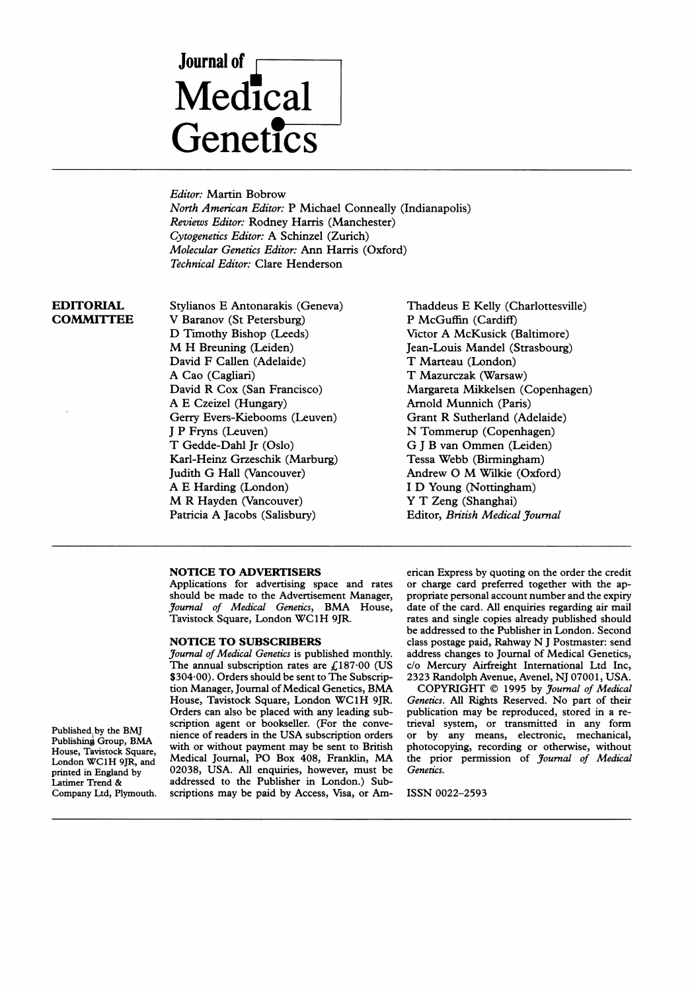# Journal of Medical Genetics

Editor: Martin Bobrow North American Editor: P Michael Conneally (Indianapolis) Reviews Editor: Rodney Harris (Manchester) Cytogenetics Editor: A Schinzel (Zurich) Molecular Genetics Editor: Ann Harris (Oxford) Technical Editor: Clare Henderson

### EDITORIAL COMMITTEE

Stylianos E Antonarakis (Geneva) V Baranov (St Petersburg) D Timothy Bishop (Leeds) M H Breuning (Leiden) David F Callen (Adelaide) A Cao (Cagliari) David R Cox (San Francisco) A E Czeizel (Hungary) Gerry Evers-Kiebooms (Leuven) <sup>J</sup> P Fryns (Leuven) T Gedde-Dahl Jr (Oslo) Karl-Heinz Grzeschik (Marburg) Judith G Hall (Vancouver) A E Harding (London) M R Hayden (Vancouver) Patricia A Jacobs (Salisbury)

Thaddeus E Kelly (Charlottesville) P McGuffin (Cardiff) Victor A McKusick (Baltimore) Jean-Louis Mandel (Strasbourg) T Marteau (London) T Mazurczak (Warsaw) Margareta Mikkelsen (Copenhagen) Arnold Munnich (Paris) Grant R Sutherland (Adelaide) N Tommerup (Copenhagen) G <sup>J</sup> B van Ommen (Leiden) Tessa Webb (Birmingham) Andrew 0 M Wilkie (Oxford) <sup>I</sup> D Young (Nottingham) Y T Zeng (Shanghai) Editor, British Medical Journal

#### NOTICE TO ADVERTISERS

Applications for advertising space and rates should be made to the Advertisement Manager, Journal of Medical Genetics, BMA House, Tavistock Square, London WC1H 9JR.

#### NOTICE TO SUBSCRIBERS

Journal of Medical Genetics is published monthly. The annual subscription rates are  $\text{\emph{f}}187\cdot00$  (US \$304 00). Orders should be sent to The Subscription Manager, Journal of Medical Genetics, BMA House, Tavistock Square, London WC1H 9JR. Orders can also be placed with any leading subscription agent or bookseller. (For the convenience of readers in the USA subscription orders with or without payment may be sent to British Medical Journal, PO Box 408, Franklin, MA 02038, USA. All enquiries, however, must be addressed to the Publisher in London.) Subscriptions may be paid by Access, Visa, or American Express by quoting on the order the credit or charge card preferred together with the appropriate personal account number and the expiry date of the card. All enquiries regarding air mail rates and single copies already published should be addressed to the Publisher in London. Second class postage paid, Rahway N <sup>J</sup> Postmaster: send address changes to Journal of Medical Genetics, c/o Mercury Airfreight International Ltd Inc, 2323 Randolph Avenue, Avenel, NJ 07001, USA.

COPYRIGHT @ 1995 by Journal of Medical Genetics. All Rights Reserved. No part of their publication may be reproduced, stored in a retrieval system, or transmitted in any form or by any means, electronic, mechanical, photocopying, recording or otherwise, without the prior permission of Journal of Medical Genetics.

ISSN 0022-2593

Published by the BMJ Publishing Group, BMA House, Tavistock Square, London WC1H 9JR, and printed in England by Latimer Trend & Company Ltd, Plymouth.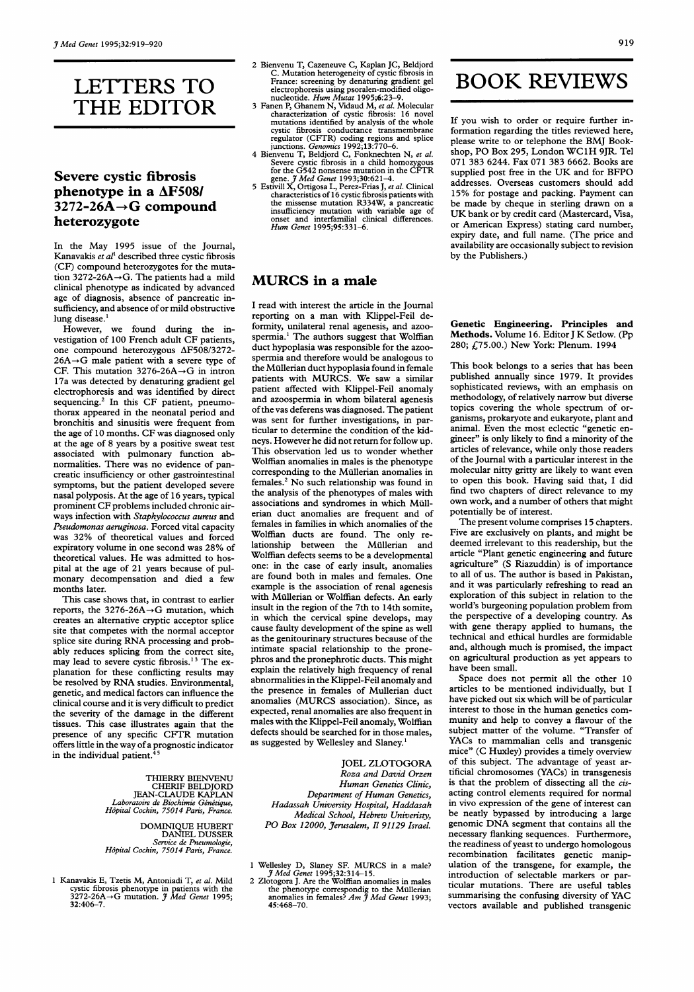# LETTERS TO THE EDITOR

## Severe cystic fibrosis phenotype in a AF508/  $3272 - 26A \rightarrow G$  compound heterozygote

In the May 1995 issue of the Journal, Kanavakis et al' described three cystic fibrosis (CF) compound heterozygotes for the mutation 3272-26A $\rightarrow$ G. The patients had a mild clinical phenotype as indicated by advanced age of diagnosis, absence of pancreatic insufficiency, and absence of or mild obstructive lung disease.

However, we found during the investigation of 100 French adult CF patients, one compound heterozygous AF508/3272-  $26A \rightarrow G$  male patient with a severe type of CF. This mutation  $3276-26A \rightarrow G$  in intron 17a was detected by denaturing gradient gel electrophoresis and was identified by direct sequencing.<sup>2</sup> In this CF patient, pneumothorax appeared in the neonatal period and bronchitis and sinusitis were frequent from the age of <sup>10</sup> months. CF was diagnosed only at the age of 8 years by a positive sweat test associated with pulmonary function abnormalities. There was no evidence of pancreatic insufficiency or other gastrointestinal symptoms, but the patient developed severe nasal polyposis. At the age of 16 years, typical prominent CF problems included chronic airways infection with Staphylococcus aureus and Pseudomonas aeruginosa. Forced vital capacity was 32% of theoretical values and forced expiratory volume in one second was 28% of theoretical values. He was admitted to hospital at the age of 21 years because of pulmonary decompensation and died a few months later.

This case shows that, in contrast to earlier reports, the 3276-26A $\rightarrow$ G mutation, which creates an alternative cryptic acceptor splice site that competes with the normal acceptor splice site during RNA processing and probably reduces splicing from the correct site, may lead to severe cystic fibrosis.'3 The explanation for these conflicting results may be resolved by RNA studies. Environmental, genetic, and medical factors can influence the clinical course and it is very difficult to predict the severity of the damage in the different tissues. This case illustrates again that the presence of any specific CFTR mutation offers little in the way of a prognostic indicator in the individual patient.

> THIERRY BIENVENU CHERIF BELDJORD JEAN-CLAUDE KAPLAN Laboratoire de Biochimie Ginitique, H6pital Cochin, 75014 Paris, France.

> DOMINIQUE HUBERT DANIEL DUSSER Service de Pneumologie, H6pital Cochin, 75014 Paris, France.

- 2 Bienvenu T, Cazeneuve C, Kaplan JC, Beldjord C. Mutation heterogeneity of cystic fibre<br>
France: screening by denaturing gradient gelectrophoresis using psoralen-modified oligo-<br>
nucleotide. *Hum Mutat* 1995;6:23-9.<br>
3 Fanen P, Ghanem N, Vidaud M<sub>o</sub>, et al. Molecular
- 
- cystic hibrosis conductance transmembrane<br>regulator (CFTR) coding regions and splice<br>junctions. *Genomics* 1992;13:770–6.<br>4 Bienvenu T, Beldjord C, Fonkenchen N, *et al.*<br>Severe cystic fibrosis in a child homozygous<br>for t
- gene. *J Med Genet* 1993;30:621-4.<br>5 Estivill X, Ortigosa L, Perez-Frias J, et al. Clinical characteristics of 16 cystic fibrosis patients with the missense mutation R334W, a pancreatic insufficiency mutation with variable age of onset and interfamilial clinical differences. Hum Genet 1995;95:331-6.

## MURCS in <sup>a</sup> male

I read with interest the article in the Journal reporting on <sup>a</sup> man with Klippel-Feil deformity, unilateral renal agenesis, and azoospermia.' The authors suggest that Wolffian duct hypoplasia was responsible for the azoospermia and therefore would be analogous to the Mullerian duct hypoplasia found in female patients with MURCS. We saw <sup>a</sup> similar patient affected with Klippel-Feil anomaly and azoospermia in whom bilateral agenesis of the vas deferens was diagnosed. The patient was sent for further investigations, in particular to determine the condition of the kidneys. However he did not return for follow up. This observation led us to wonder whether Wolffian anomalies in males is the phenotype corresponding to the Muillerian anomalies in females.2 No such relationship was found in the analysis of the phenotypes of males with associations and syndromes in which Mullerian duct anomalies are frequent and of females in families in which anomalies of the Wolffian ducts are found. The only re-<br>lationship between the Müllerian and between the Müllerian and Wolffian defects seems to be a developmental one: in the case of early insult, anomalies are found both in males and females. One example is the association of renal agenesis with Mullerian or Wolffian defects. An early insult in the region of the 7th to 14th somite, in which the cervical spine develops, may cause faulty development of the spine as well as the genitourinary structures because of the intimate spacial relationship to the pronephros and the pronephrotic ducts. This might explain the relatively high frequency of renal abnormalities in the Klippel-Feil anomaly and the presence in females of Mullerian duct anomalies (MURCS association). Since, as expected, renal anomalies are also frequent in males with the Klippel-Feil anomaly, Wolffian defects should be searched for in those males, as suggested by Wellesley and Slaney.'

JOEL ZLOTOGORA Roza and David Orzen Human Genetics Clinic, Department of Human Genetics, Hadassah University Hospital, Haddasah Medical School, Hebrew Univeristy, PO Box 12000, Jerusalem, Il 91129 Israel.

# BOOK REVIEWS

If you wish to order or require further information regarding the titles reviewed here, please write to or telephone the BMJ Bookshop, PO Box 295, London WC1H 9JR. Tel 071 383 6244. Fax 071 383 6662. Books are supplied post free in the UK and for BFPO addresses. Overseas customers should add 15% for postage and packing. Payment can be made by cheque in sterling drawn on <sup>a</sup> UK bank or by credit card (Mastercard, Visa, or American Express) stating card number, expiry date, and full name. (The price and availability are occasionally subject to revision by the Publishers.)

Genetic Engineering. Principles and Methods. Volume 16. Editor J K Setlow. (Pp 280; £75.00.) New York: Plenum. 1994

This book belongs to a series that has been published annually since 1979. It provides sophisticated reviews, with an emphasis on methodology, of relatively narrow but diverse topics covering the whole spectrum of organisms, prokaryote and eukaryote, plant and animal. Even the most eclectic "genetic engineer" is only likely to find a minority of the articles of relevance, while only those readers of the Journal with a particular interest in the molecular nitty gritty are likely to want even to open this book. Having said that, <sup>I</sup> did find two chapters of direct relevance to my own work, and a number of others that might potentially be of interest.

The present volume comprises 15 chapters. Five are exclusively on plants, and might be deemed irrelevant to this readership, but the article "Plant genetic engineering and future agriculture" (S Riazuddin) is of importance to all of us. The author is based in Pakistan, and it was particularly refreshing to read an exploration of this subject in relation to the world's burgeoning population problem from the perspective of a developing country. As with gene therapy applied to humans, the technical and ethical hurdles are formidable and, although much is promised, the impact on agricultural production as yet appears to have been small.

Space does not permit all the other 10 articles to be mentioned individually, but <sup>I</sup> have picked out six which will be of particular interest to those in the human genetics community and help to convey a flavour of the subject matter of the volume. "Transfer of YACs to mammalian cells and transgenic mice" (C Huxley) provides a timely overview of this subject. The advantage of yeast artificial chromosomes (YACs) in transgenesis is that the problem of dissecting all the cisacting control elements required for normal in vivo expression of the gene of interest can be neatly bypassed by introducing a large genomic DNA segment that contains all the necessary flanking sequences. Furthermore, the readiness of yeast to undergo homologous recombination facilitates genetic manipulation of the transgene, for example, the introduction of selectable markers or particular mutations. There are useful tables summarising the confusing diversity of YAC vectors available and published transgenic

<sup>1</sup> Kanavakis E, Tzetis M, Antoniadi T, et al. Mild cystic fibrosis phenotype in patients with the  $3272-26A \rightarrow G$  mutation. *J Med Genet* 1995; 32:406-7.

<sup>1</sup> Wellesley D, Slaney SF. MURCS in a male?<br>  $\int \int Med$  Genet 1995;32:314-15.<br>
2 Zlotogora J. Are the Wolffian anomalies in males

the phenotype correspondig to the Müllerian<br>anomalies in females? Am J Med Genet 1993; 45:468-70.